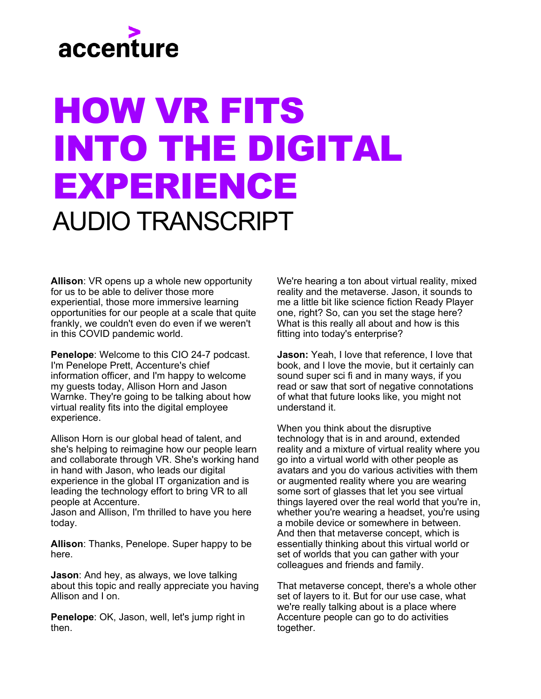

## HOW VR FITS INTO THE DIGITAL EXPERIENCE AUDIO TRANSCRIPT

**Allison**: VR opens up a whole new opportunity for us to be able to deliver those more experiential, those more immersive learning opportunities for our people at a scale that quite frankly, we couldn't even do even if we weren't in this COVID pandemic world.

**Penelope**: Welcome to this CIO 24-7 podcast. I'm Penelope Prett, Accenture's chief information officer, and I'm happy to welcome my guests today, Allison Horn and Jason Warnke. They're going to be talking about how virtual reality fits into the digital employee experience.

Allison Horn is our global head of talent, and she's helping to reimagine how our people learn and collaborate through VR. She's working hand in hand with Jason, who leads our digital experience in the global IT organization and is leading the technology effort to bring VR to all people at Accenture.

Jason and Allison, I'm thrilled to have you here today.

**Allison**: Thanks, Penelope. Super happy to be here.

**Jason**: And hey, as always, we love talking about this topic and really appreciate you having Allison and I on.

**Penelope**: OK, Jason, well, let's jump right in then.

We're hearing a ton about virtual reality, mixed reality and the metaverse. Jason, it sounds to me a little bit like science fiction Ready Player one, right? So, can you set the stage here? What is this really all about and how is this fitting into today's enterprise?

**Jason:** Yeah, I love that reference, I love that book, and I love the movie, but it certainly can sound super sci fi and in many ways, if you read or saw that sort of negative connotations of what that future looks like, you might not understand it.

When you think about the disruptive technology that is in and around, extended reality and a mixture of virtual reality where you go into a virtual world with other people as avatars and you do various activities with them or augmented reality where you are wearing some sort of glasses that let you see virtual things layered over the real world that you're in, whether you're wearing a headset, you're using a mobile device or somewhere in between. And then that metaverse concept, which is essentially thinking about this virtual world or set of worlds that you can gather with your colleagues and friends and family.

That metaverse concept, there's a whole other set of layers to it. But for our use case, what we're really talking about is a place where Accenture people can go to do activities together.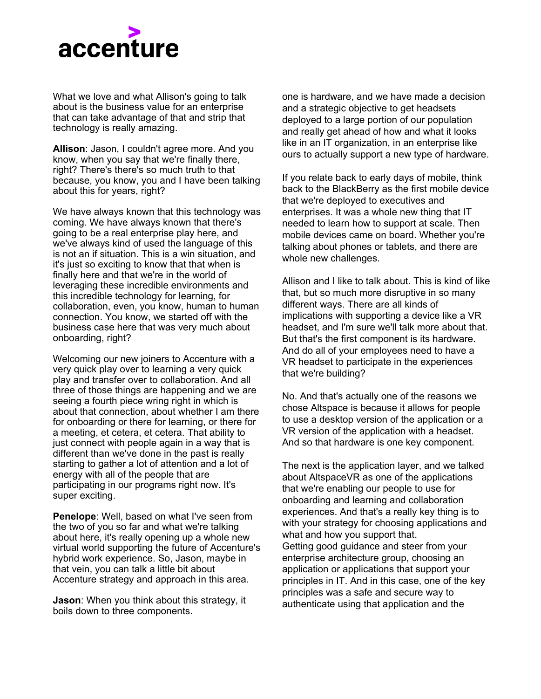

What we love and what Allison's going to talk about is the business value for an enterprise that can take advantage of that and strip that technology is really amazing.

**Allison**: Jason, I couldn't agree more. And you know, when you say that we're finally there, right? There's there's so much truth to that because, you know, you and I have been talking about this for years, right?

We have always known that this technology was coming. We have always known that there's going to be a real enterprise play here, and we've always kind of used the language of this is not an if situation. This is a win situation, and it's just so exciting to know that that when is finally here and that we're in the world of leveraging these incredible environments and this incredible technology for learning, for collaboration, even, you know, human to human connection. You know, we started off with the business case here that was very much about onboarding, right?

Welcoming our new joiners to Accenture with a very quick play over to learning a very quick play and transfer over to collaboration. And all three of those things are happening and we are seeing a fourth piece wring right in which is about that connection, about whether I am there for onboarding or there for learning, or there for a meeting, et cetera, et cetera. That ability to just connect with people again in a way that is different than we've done in the past is really starting to gather a lot of attention and a lot of energy with all of the people that are participating in our programs right now. It's super exciting.

**Penelope**: Well, based on what I've seen from the two of you so far and what we're talking about here, it's really opening up a whole new virtual world supporting the future of Accenture's hybrid work experience. So, Jason, maybe in that vein, you can talk a little bit about Accenture strategy and approach in this area.

**Jason**: When you think about this strategy, it boils down to three components.

one is hardware, and we have made a decision and a strategic objective to get headsets deployed to a large portion of our population and really get ahead of how and what it looks like in an IT organization, in an enterprise like ours to actually support a new type of hardware.

If you relate back to early days of mobile, think back to the BlackBerry as the first mobile device that we're deployed to executives and enterprises. It was a whole new thing that IT needed to learn how to support at scale. Then mobile devices came on board. Whether you're talking about phones or tablets, and there are whole new challenges.

Allison and I like to talk about. This is kind of like that, but so much more disruptive in so many different ways. There are all kinds of implications with supporting a device like a VR headset, and I'm sure we'll talk more about that. But that's the first component is its hardware. And do all of your employees need to have a VR headset to participate in the experiences that we're building?

No. And that's actually one of the reasons we chose Altspace is because it allows for people to use a desktop version of the application or a VR version of the application with a headset. And so that hardware is one key component.

The next is the application layer, and we talked about AltspaceVR as one of the applications that we're enabling our people to use for onboarding and learning and collaboration experiences. And that's a really key thing is to with your strategy for choosing applications and what and how you support that. Getting good guidance and steer from your enterprise architecture group, choosing an application or applications that support your principles in IT. And in this case, one of the key principles was a safe and secure way to authenticate using that application and the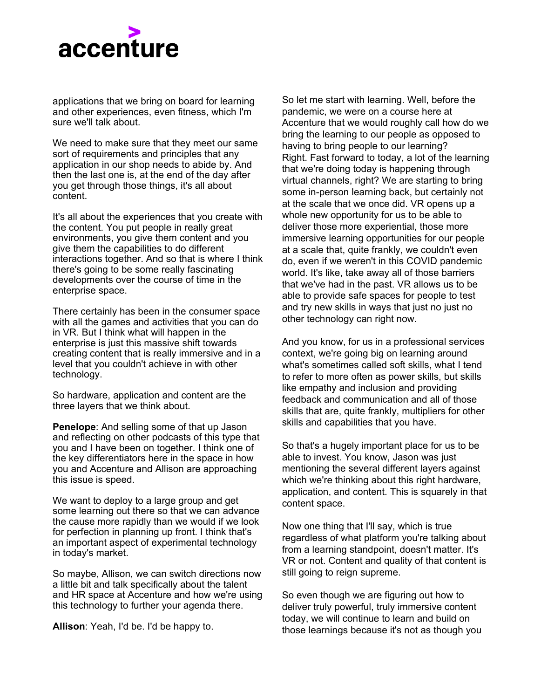

applications that we bring on board for learning and other experiences, even fitness, which I'm sure we'll talk about.

We need to make sure that they meet our same sort of requirements and principles that any application in our shop needs to abide by. And then the last one is, at the end of the day after you get through those things, it's all about content.

It's all about the experiences that you create with the content. You put people in really great environments, you give them content and you give them the capabilities to do different interactions together. And so that is where I think there's going to be some really fascinating developments over the course of time in the enterprise space.

There certainly has been in the consumer space with all the games and activities that you can do in VR. But I think what will happen in the enterprise is just this massive shift towards creating content that is really immersive and in a level that you couldn't achieve in with other technology.

So hardware, application and content are the three layers that we think about.

**Penelope**: And selling some of that up Jason and reflecting on other podcasts of this type that you and I have been on together. I think one of the key differentiators here in the space in how you and Accenture and Allison are approaching this issue is speed.

We want to deploy to a large group and get some learning out there so that we can advance the cause more rapidly than we would if we look for perfection in planning up front. I think that's an important aspect of experimental technology in today's market.

So maybe, Allison, we can switch directions now a little bit and talk specifically about the talent and HR space at Accenture and how we're using this technology to further your agenda there.

**Allison**: Yeah, I'd be. I'd be happy to.

So let me start with learning. Well, before the pandemic, we were on a course here at Accenture that we would roughly call how do we bring the learning to our people as opposed to having to bring people to our learning? Right. Fast forward to today, a lot of the learning that we're doing today is happening through virtual channels, right? We are starting to bring some in-person learning back, but certainly not at the scale that we once did. VR opens up a whole new opportunity for us to be able to deliver those more experiential, those more immersive learning opportunities for our people at a scale that, quite frankly, we couldn't even do, even if we weren't in this COVID pandemic world. It's like, take away all of those barriers that we've had in the past. VR allows us to be able to provide safe spaces for people to test and try new skills in ways that just no just no other technology can right now.

And you know, for us in a professional services context, we're going big on learning around what's sometimes called soft skills, what I tend to refer to more often as power skills, but skills like empathy and inclusion and providing feedback and communication and all of those skills that are, quite frankly, multipliers for other skills and capabilities that you have.

So that's a hugely important place for us to be able to invest. You know, Jason was just mentioning the several different layers against which we're thinking about this right hardware, application, and content. This is squarely in that content space.

Now one thing that I'll say, which is true regardless of what platform you're talking about from a learning standpoint, doesn't matter. It's VR or not. Content and quality of that content is still going to reign supreme.

So even though we are figuring out how to deliver truly powerful, truly immersive content today, we will continue to learn and build on those learnings because it's not as though you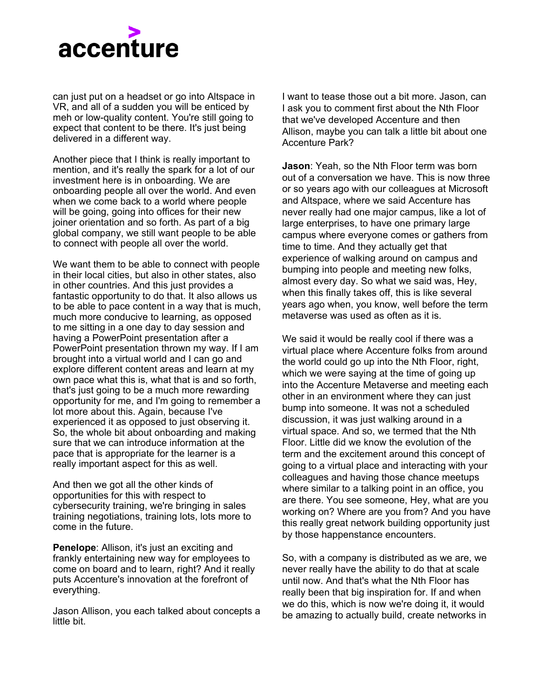

can just put on a headset or go into Altspace in VR, and all of a sudden you will be enticed by meh or low-quality content. You're still going to expect that content to be there. It's just being delivered in a different way.

Another piece that I think is really important to mention, and it's really the spark for a lot of our investment here is in onboarding. We are onboarding people all over the world. And even when we come back to a world where people will be going, going into offices for their new joiner orientation and so forth. As part of a big global company, we still want people to be able to connect with people all over the world.

We want them to be able to connect with people in their local cities, but also in other states, also in other countries. And this just provides a fantastic opportunity to do that. It also allows us to be able to pace content in a way that is much, much more conducive to learning, as opposed to me sitting in a one day to day session and having a PowerPoint presentation after a PowerPoint presentation thrown my way. If I am brought into a virtual world and I can go and explore different content areas and learn at my own pace what this is, what that is and so forth, that's just going to be a much more rewarding opportunity for me, and I'm going to remember a lot more about this. Again, because I've experienced it as opposed to just observing it. So, the whole bit about onboarding and making sure that we can introduce information at the pace that is appropriate for the learner is a really important aspect for this as well.

And then we got all the other kinds of opportunities for this with respect to cybersecurity training, we're bringing in sales training negotiations, training lots, lots more to come in the future.

**Penelope**: Allison, it's just an exciting and frankly entertaining new way for employees to come on board and to learn, right? And it really puts Accenture's innovation at the forefront of everything.

Jason Allison, you each talked about concepts a little bit.

I want to tease those out a bit more. Jason, can I ask you to comment first about the Nth Floor that we've developed Accenture and then Allison, maybe you can talk a little bit about one Accenture Park?

**Jason**: Yeah, so the Nth Floor term was born out of a conversation we have. This is now three or so years ago with our colleagues at Microsoft and Altspace, where we said Accenture has never really had one major campus, like a lot of large enterprises, to have one primary large campus where everyone comes or gathers from time to time. And they actually get that experience of walking around on campus and bumping into people and meeting new folks, almost every day. So what we said was, Hey, when this finally takes off, this is like several years ago when, you know, well before the term metaverse was used as often as it is.

We said it would be really cool if there was a virtual place where Accenture folks from around the world could go up into the Nth Floor, right, which we were saying at the time of going up into the Accenture Metaverse and meeting each other in an environment where they can just bump into someone. It was not a scheduled discussion, it was just walking around in a virtual space. And so, we termed that the Nth Floor. Little did we know the evolution of the term and the excitement around this concept of going to a virtual place and interacting with your colleagues and having those chance meetups where similar to a talking point in an office, you are there. You see someone, Hey, what are you working on? Where are you from? And you have this really great network building opportunity just by those happenstance encounters.

So, with a company is distributed as we are, we never really have the ability to do that at scale until now. And that's what the Nth Floor has really been that big inspiration for. If and when we do this, which is now we're doing it, it would be amazing to actually build, create networks in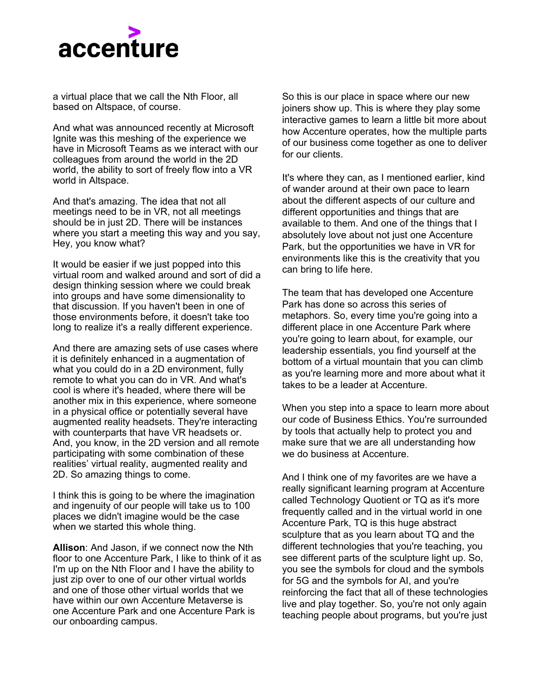

a virtual place that we call the Nth Floor, all based on Altspace, of course.

And what was announced recently at Microsoft Ignite was this meshing of the experience we have in Microsoft Teams as we interact with our colleagues from around the world in the 2D world, the ability to sort of freely flow into a VR world in Altspace.

And that's amazing. The idea that not all meetings need to be in VR, not all meetings should be in just 2D. There will be instances where you start a meeting this way and you say, Hey, you know what?

It would be easier if we just popped into this virtual room and walked around and sort of did a design thinking session where we could break into groups and have some dimensionality to that discussion. If you haven't been in one of those environments before, it doesn't take too long to realize it's a really different experience.

And there are amazing sets of use cases where it is definitely enhanced in a augmentation of what you could do in a 2D environment, fully remote to what you can do in VR. And what's cool is where it's headed, where there will be another mix in this experience, where someone in a physical office or potentially several have augmented reality headsets. They're interacting with counterparts that have VR headsets or. And, you know, in the 2D version and all remote participating with some combination of these realities' virtual reality, augmented reality and 2D. So amazing things to come.

I think this is going to be where the imagination and ingenuity of our people will take us to 100 places we didn't imagine would be the case when we started this whole thing.

**Allison**: And Jason, if we connect now the Nth floor to one Accenture Park, I like to think of it as I'm up on the Nth Floor and I have the ability to just zip over to one of our other virtual worlds and one of those other virtual worlds that we have within our own Accenture Metaverse is one Accenture Park and one Accenture Park is our onboarding campus.

So this is our place in space where our new joiners show up. This is where they play some interactive games to learn a little bit more about how Accenture operates, how the multiple parts of our business come together as one to deliver for our clients.

It's where they can, as I mentioned earlier, kind of wander around at their own pace to learn about the different aspects of our culture and different opportunities and things that are available to them. And one of the things that I absolutely love about not just one Accenture Park, but the opportunities we have in VR for environments like this is the creativity that you can bring to life here.

The team that has developed one Accenture Park has done so across this series of metaphors. So, every time you're going into a different place in one Accenture Park where you're going to learn about, for example, our leadership essentials, you find yourself at the bottom of a virtual mountain that you can climb as you're learning more and more about what it takes to be a leader at Accenture.

When you step into a space to learn more about our code of Business Ethics. You're surrounded by tools that actually help to protect you and make sure that we are all understanding how we do business at Accenture.

And I think one of my favorites are we have a really significant learning program at Accenture called Technology Quotient or TQ as it's more frequently called and in the virtual world in one Accenture Park, TQ is this huge abstract sculpture that as you learn about TQ and the different technologies that you're teaching, you see different parts of the sculpture light up. So, you see the symbols for cloud and the symbols for 5G and the symbols for AI, and you're reinforcing the fact that all of these technologies live and play together. So, you're not only again teaching people about programs, but you're just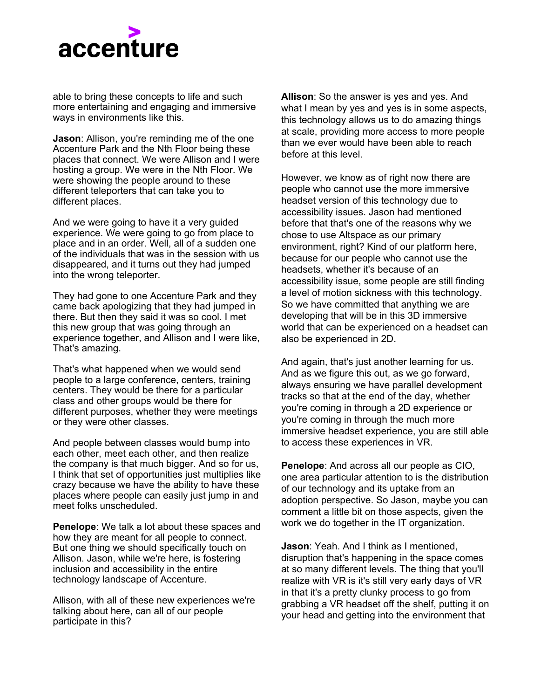

able to bring these concepts to life and such more entertaining and engaging and immersive ways in environments like this.

**Jason**: Allison, you're reminding me of the one Accenture Park and the Nth Floor being these places that connect. We were Allison and I were hosting a group. We were in the Nth Floor. We were showing the people around to these different teleporters that can take you to different places.

And we were going to have it a very guided experience. We were going to go from place to place and in an order. Well, all of a sudden one of the individuals that was in the session with us disappeared, and it turns out they had jumped into the wrong teleporter.

They had gone to one Accenture Park and they came back apologizing that they had jumped in there. But then they said it was so cool. I met this new group that was going through an experience together, and Allison and I were like, That's amazing.

That's what happened when we would send people to a large conference, centers, training centers. They would be there for a particular class and other groups would be there for different purposes, whether they were meetings or they were other classes.

And people between classes would bump into each other, meet each other, and then realize the company is that much bigger. And so for us, I think that set of opportunities just multiplies like crazy because we have the ability to have these places where people can easily just jump in and meet folks unscheduled.

**Penelope**: We talk a lot about these spaces and how they are meant for all people to connect. But one thing we should specifically touch on Allison. Jason, while we're here, is fostering inclusion and accessibility in the entire technology landscape of Accenture.

Allison, with all of these new experiences we're talking about here, can all of our people participate in this?

**Allison**: So the answer is yes and yes. And what I mean by yes and yes is in some aspects, this technology allows us to do amazing things at scale, providing more access to more people than we ever would have been able to reach before at this level.

However, we know as of right now there are people who cannot use the more immersive headset version of this technology due to accessibility issues. Jason had mentioned before that that's one of the reasons why we chose to use Altspace as our primary environment, right? Kind of our platform here, because for our people who cannot use the headsets, whether it's because of an accessibility issue, some people are still finding a level of motion sickness with this technology. So we have committed that anything we are developing that will be in this 3D immersive world that can be experienced on a headset can also be experienced in 2D.

And again, that's just another learning for us. And as we figure this out, as we go forward, always ensuring we have parallel development tracks so that at the end of the day, whether you're coming in through a 2D experience or you're coming in through the much more immersive headset experience, you are still able to access these experiences in VR.

**Penelope**: And across all our people as CIO, one area particular attention to is the distribution of our technology and its uptake from an adoption perspective. So Jason, maybe you can comment a little bit on those aspects, given the work we do together in the IT organization.

**Jason**: Yeah. And I think as I mentioned, disruption that's happening in the space comes at so many different levels. The thing that you'll realize with VR is it's still very early days of VR in that it's a pretty clunky process to go from grabbing a VR headset off the shelf, putting it on your head and getting into the environment that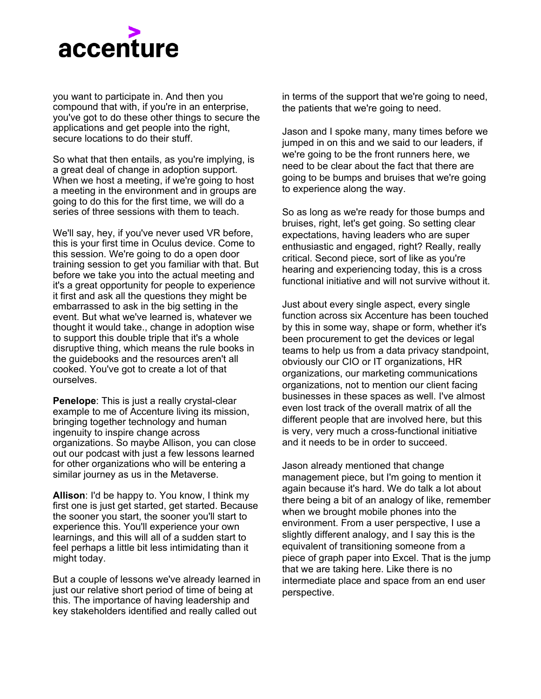

you want to participate in. And then you compound that with, if you're in an enterprise, you've got to do these other things to secure the applications and get people into the right, secure locations to do their stuff.

So what that then entails, as you're implying, is a great deal of change in adoption support. When we host a meeting, if we're going to host a meeting in the environment and in groups are going to do this for the first time, we will do a series of three sessions with them to teach.

We'll say, hey, if you've never used VR before, this is your first time in Oculus device. Come to this session. We're going to do a open door training session to get you familiar with that. But before we take you into the actual meeting and it's a great opportunity for people to experience it first and ask all the questions they might be embarrassed to ask in the big setting in the event. But what we've learned is, whatever we thought it would take., change in adoption wise to support this double triple that it's a whole disruptive thing, which means the rule books in the guidebooks and the resources aren't all cooked. You've got to create a lot of that ourselves.

**Penelope**: This is just a really crystal-clear example to me of Accenture living its mission, bringing together technology and human ingenuity to inspire change across organizations. So maybe Allison, you can close out our podcast with just a few lessons learned for other organizations who will be entering a similar journey as us in the Metaverse.

**Allison**: I'd be happy to. You know, I think my first one is just get started, get started. Because the sooner you start, the sooner you'll start to experience this. You'll experience your own learnings, and this will all of a sudden start to feel perhaps a little bit less intimidating than it might today.

But a couple of lessons we've already learned in just our relative short period of time of being at this. The importance of having leadership and key stakeholders identified and really called out

in terms of the support that we're going to need, the patients that we're going to need.

Jason and I spoke many, many times before we jumped in on this and we said to our leaders, if we're going to be the front runners here, we need to be clear about the fact that there are going to be bumps and bruises that we're going to experience along the way.

So as long as we're ready for those bumps and bruises, right, let's get going. So setting clear expectations, having leaders who are super enthusiastic and engaged, right? Really, really critical. Second piece, sort of like as you're hearing and experiencing today, this is a cross functional initiative and will not survive without it.

Just about every single aspect, every single function across six Accenture has been touched by this in some way, shape or form, whether it's been procurement to get the devices or legal teams to help us from a data privacy standpoint, obviously our CIO or IT organizations, HR organizations, our marketing communications organizations, not to mention our client facing businesses in these spaces as well. I've almost even lost track of the overall matrix of all the different people that are involved here, but this is very, very much a cross-functional initiative and it needs to be in order to succeed.

Jason already mentioned that change management piece, but I'm going to mention it again because it's hard. We do talk a lot about there being a bit of an analogy of like, remember when we brought mobile phones into the environment. From a user perspective, I use a slightly different analogy, and I say this is the equivalent of transitioning someone from a piece of graph paper into Excel. That is the jump that we are taking here. Like there is no intermediate place and space from an end user perspective.